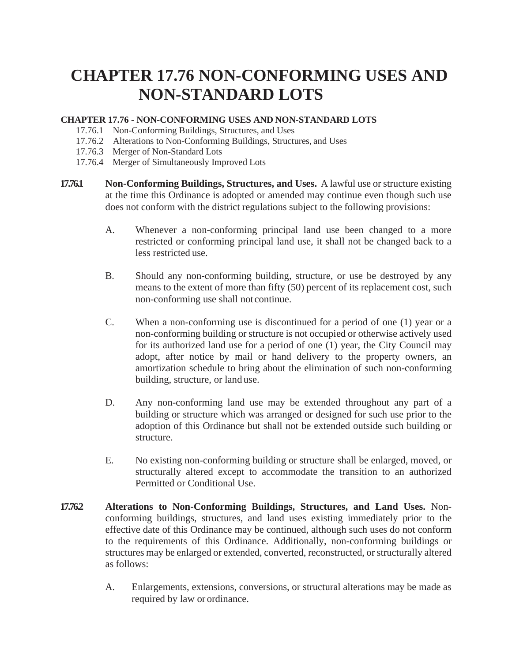## **CHAPTER 17.76 NON-CONFORMING USES AND NON-STANDARD LOTS**

## **CHAPTER 17.76 - NON-CONFORMING USES AND NON-STANDARD LOTS**

- 17.76.1 Non-Conforming Buildings, Structures, and Uses
- 17.76.2 Alterations to Non-Conforming Buildings, Structures, and Uses
- 17.76.3 Merger of Non-Standard Lots
- 17.76.4 Merger of Simultaneously Improved Lots
- **17.76.1 Non-Conforming Buildings, Structures, and Uses.** A lawful use or structure existing at the time this Ordinance is adopted or amended may continue even though such use does not conform with the district regulations subject to the following provisions:
	- A. Whenever a non-conforming principal land use been changed to a more restricted or conforming principal land use, it shall not be changed back to a less restricted use.
	- B. Should any non-conforming building, structure, or use be destroyed by any means to the extent of more than fifty (50) percent of its replacement cost, such non-conforming use shall not continue.
	- C. When a non-conforming use is discontinued for a period of one (1) year or a non-conforming building or structure is not occupied or otherwise actively used for its authorized land use for a period of one (1) year, the City Council may adopt, after notice by mail or hand delivery to the property owners, an amortization schedule to bring about the elimination of such non-conforming building, structure, or land use.
	- D. Any non-conforming land use may be extended throughout any part of a building or structure which was arranged or designed for such use prior to the adoption of this Ordinance but shall not be extended outside such building or structure.
	- E. No existing non-conforming building or structure shall be enlarged, moved, or structurally altered except to accommodate the transition to an authorized Permitted or Conditional Use.
- **17.76.2 Alterations to Non-Conforming Buildings, Structures, and Land Uses.** Nonconforming buildings, structures, and land uses existing immediately prior to the effective date of this Ordinance may be continued, although such uses do not conform to the requirements of this Ordinance. Additionally, non-conforming buildings or structures may be enlarged or extended, converted, reconstructed, or structurally altered as follows:
	- A. Enlargements, extensions, conversions, or structural alterations may be made as required by law or ordinance.